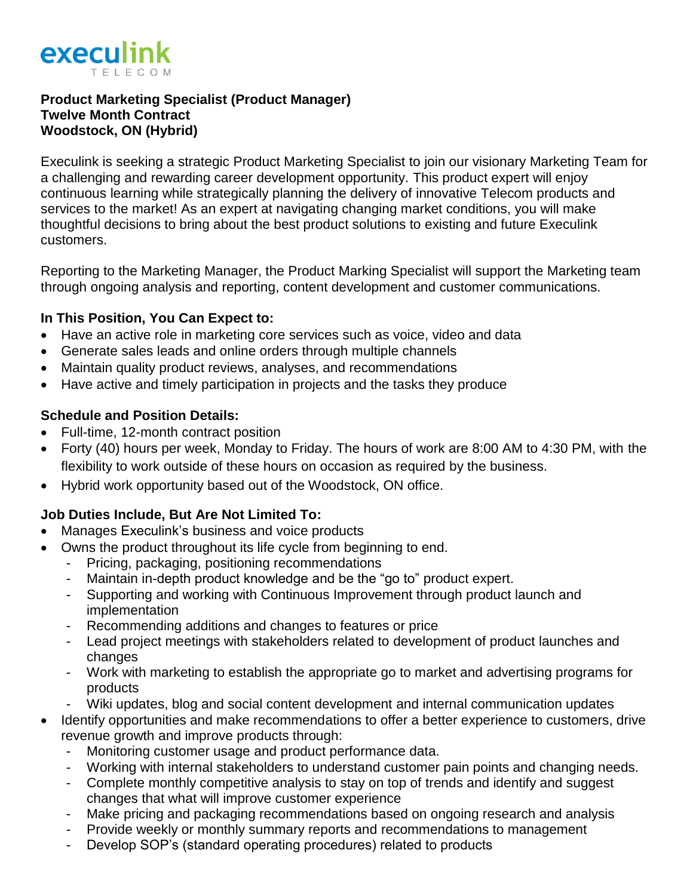

### **Product Marketing Specialist (Product Manager) Twelve Month Contract Woodstock, ON (Hybrid)**

Execulink is seeking a strategic Product Marketing Specialist to join our visionary Marketing Team for a challenging and rewarding career development opportunity. This product expert will enjoy continuous learning while strategically planning the delivery of innovative Telecom products and services to the market! As an expert at navigating changing market conditions, you will make thoughtful decisions to bring about the best product solutions to existing and future Execulink customers.

Reporting to the Marketing Manager, the Product Marking Specialist will support the Marketing team through ongoing analysis and reporting, content development and customer communications.

### **In This Position, You Can Expect to:**

- Have an active role in marketing core services such as voice, video and data
- Generate sales leads and online orders through multiple channels
- Maintain quality product reviews, analyses, and recommendations
- Have active and timely participation in projects and the tasks they produce

# **Schedule and Position Details:**

- Full-time, 12-month contract position
- Forty (40) hours per week, Monday to Friday. The hours of work are 8:00 AM to 4:30 PM, with the flexibility to work outside of these hours on occasion as required by the business.
- Hybrid work opportunity based out of the Woodstock, ON office.

# **Job Duties Include, But Are Not Limited To:**

- Manages Execulink's business and voice products
- Owns the product throughout its life cycle from beginning to end.
	- Pricing, packaging, positioning recommendations
	- Maintain in-depth product knowledge and be the "go to" product expert.
	- Supporting and working with Continuous Improvement through product launch and implementation
	- Recommending additions and changes to features or price
	- Lead project meetings with stakeholders related to development of product launches and changes
	- Work with marketing to establish the appropriate go to market and advertising programs for products
	- Wiki updates, blog and social content development and internal communication updates
- Identify opportunities and make recommendations to offer a better experience to customers, drive revenue growth and improve products through:
	- Monitoring customer usage and product performance data.
	- Working with internal stakeholders to understand customer pain points and changing needs.
	- Complete monthly competitive analysis to stay on top of trends and identify and suggest changes that what will improve customer experience
	- Make pricing and packaging recommendations based on ongoing research and analysis
	- Provide weekly or monthly summary reports and recommendations to management
	- Develop SOP's (standard operating procedures) related to products